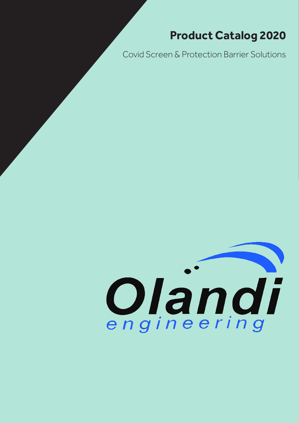# **Product Catalog 2020**

Covid Screen & Protection Barrier Solutions

# Olandi engineering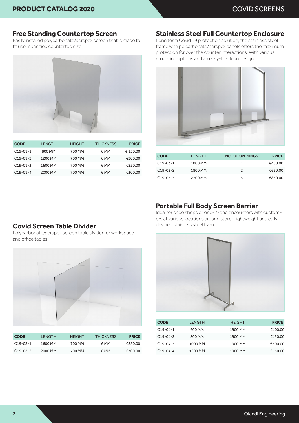# **Free Standing Countertop Screen**

Easily installed polycarbonate/perspex screen that is made to fit user specified countertop size.



| <b>CODE</b> | <b>LENGTH</b> | <b>HEIGHT</b> | <b>THICKNESS</b> | <b>PRICE</b> |
|-------------|---------------|---------------|------------------|--------------|
| $C19-01-1$  | 800 MM        | 700 MM        | 6 MM             | €150.00      |
| $C19-01-2$  | 1200 MM       | 700 MM        | 6 MM             | €200.00      |
| $C19-01-3$  | 1600 MM       | 700 MM        | 6 MM             | €250.00      |
| $C19-01-4$  | 2000 MM       | 700 MM        | 6 MM             | €300.00      |

# **Stainless Steel Full Countertop Enclosure**

Long term Covid 19 protection solution, the stainless steel frame with polcarbonate/perspex panels offers the maximum protection for over the counter interactions. With various mounting options and an easy-to-clean design.



| <b>CODE</b> | <b>LENGTH</b> | NO. OF OPENINGS | <b>PRICE</b> |
|-------------|---------------|-----------------|--------------|
| $C19-03-1$  | 1000 MM       | 1               | €450.00      |
| $C19-03-2$  | 1800 MM       | 2               | €650.00      |
| $C19-03-3$  | 2700 MM       | 3               | €850.00      |

# **Portable Full Body Screen Barrier**

Ideal for shoe shops or one-2-one encounters with customers at various locations around store. Lightweight and eaily cleaned stainless steel frame.

# **Covid Screen Table Divider**

Polycarbonate/perspex screen table divider for workspace and office tables.



| <b>CODE</b>     | I FNGTH. | <b>HFIGHT</b> | <b>THICKNESS</b> | <b>PRICE</b> |
|-----------------|----------|---------------|------------------|--------------|
| $C.19 - 02 - 1$ | 1600 MM  | 700 MM        | 6 MM             | £250.00      |
| $C.19 - 02 - 2$ | 2000 MM  | 700 MM        | 6 MM             | €300.00      |



| <b>CODE</b> | <b>LENGTH</b> | <b>HEIGHT</b> | <b>PRICE</b> |
|-------------|---------------|---------------|--------------|
| $C19-04-1$  | 600 MM        | 1900 MM       | €400.00      |
| $C19-04-2$  | 800 MM        | 1900 MM       | €450.00      |
| $C19-04-3$  | 1000 MM       | 1900 MM       | €500.00      |
| $C19-04-4$  | 1200 MM       | 1900 MM       | €550.00      |